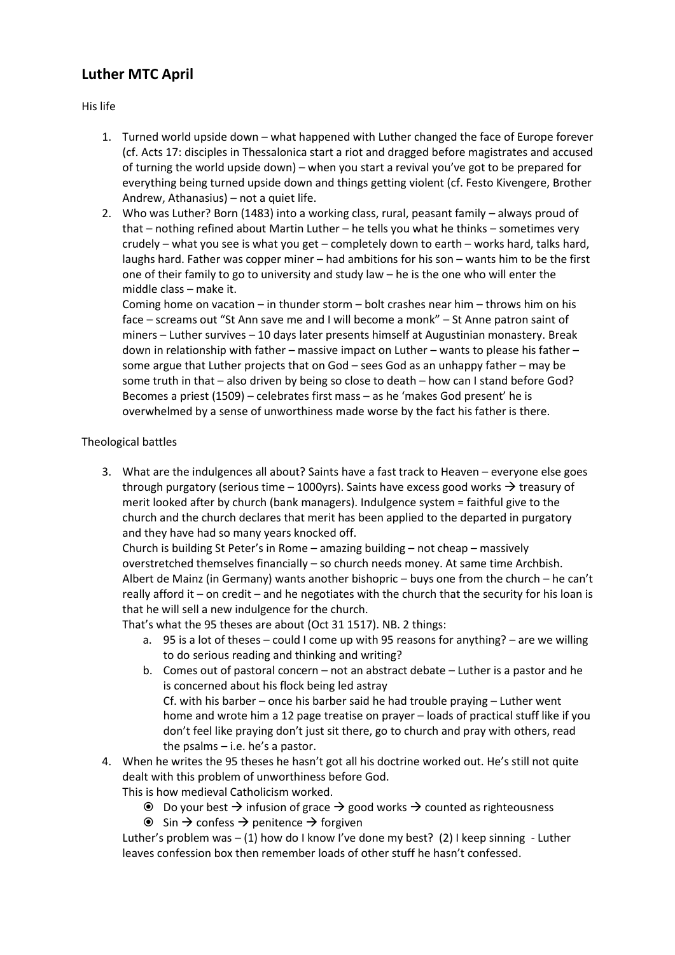## **Luther MTC April**

His life

- 1. Turned world upside down what happened with Luther changed the face of Europe forever (cf. Acts 17: disciples in Thessalonica start a riot and dragged before magistrates and accused of turning the world upside down) – when you start a revival you've got to be prepared for everything being turned upside down and things getting violent (cf. Festo Kivengere, Brother Andrew, Athanasius) – not a quiet life.
- 2. Who was Luther? Born (1483) into a working class, rural, peasant family always proud of that – nothing refined about Martin Luther – he tells you what he thinks – sometimes very crudely – what you see is what you get – completely down to earth – works hard, talks hard, laughs hard. Father was copper miner – had ambitions for his son – wants him to be the first one of their family to go to university and study law – he is the one who will enter the middle class – make it.

Coming home on vacation – in thunder storm – bolt crashes near him – throws him on his face – screams out "St Ann save me and I will become a monk" – St Anne patron saint of miners – Luther survives – 10 days later presents himself at Augustinian monastery. Break down in relationship with father – massive impact on Luther – wants to please his father – some argue that Luther projects that on God – sees God as an unhappy father – may be some truth in that – also driven by being so close to death – how can I stand before God? Becomes a priest (1509) – celebrates first mass – as he 'makes God present' he is overwhelmed by a sense of unworthiness made worse by the fact his father is there.

## Theological battles

3. What are the indulgences all about? Saints have a fast track to Heaven – everyone else goes through purgatory (serious time  $-1000$ yrs). Saints have excess good works  $\rightarrow$  treasury of merit looked after by church (bank managers). Indulgence system = faithful give to the church and the church declares that merit has been applied to the departed in purgatory and they have had so many years knocked off.

Church is building St Peter's in Rome – amazing building – not cheap – massively overstretched themselves financially – so church needs money. At same time Archbish. Albert de Mainz (in Germany) wants another bishopric – buys one from the church – he can't really afford it – on credit – and he negotiates with the church that the security for his loan is that he will sell a new indulgence for the church.

That's what the 95 theses are about (Oct 31 1517). NB. 2 things:

- a. 95 is a lot of theses could I come up with 95 reasons for anything? are we willing to do serious reading and thinking and writing?
- b. Comes out of pastoral concern not an abstract debate Luther is a pastor and he is concerned about his flock being led astray Cf. with his barber – once his barber said he had trouble praying – Luther went home and wrote him a 12 page treatise on prayer – loads of practical stuff like if you don't feel like praying don't just sit there, go to church and pray with others, read the psalms – i.e. he's a pastor.
- 4. When he writes the 95 theses he hasn't got all his doctrine worked out. He's still not quite dealt with this problem of unworthiness before God.
	- This is how medieval Catholicism worked.
		- $\odot$  Do your best  $\rightarrow$  infusion of grace  $\rightarrow$  good works  $\rightarrow$  counted as righteousness
		- $\circ$  Sin  $\rightarrow$  confess  $\rightarrow$  penitence  $\rightarrow$  forgiven

Luther's problem was  $- (1)$  how do I know I've done my best? (2) I keep sinning - Luther leaves confession box then remember loads of other stuff he hasn't confessed.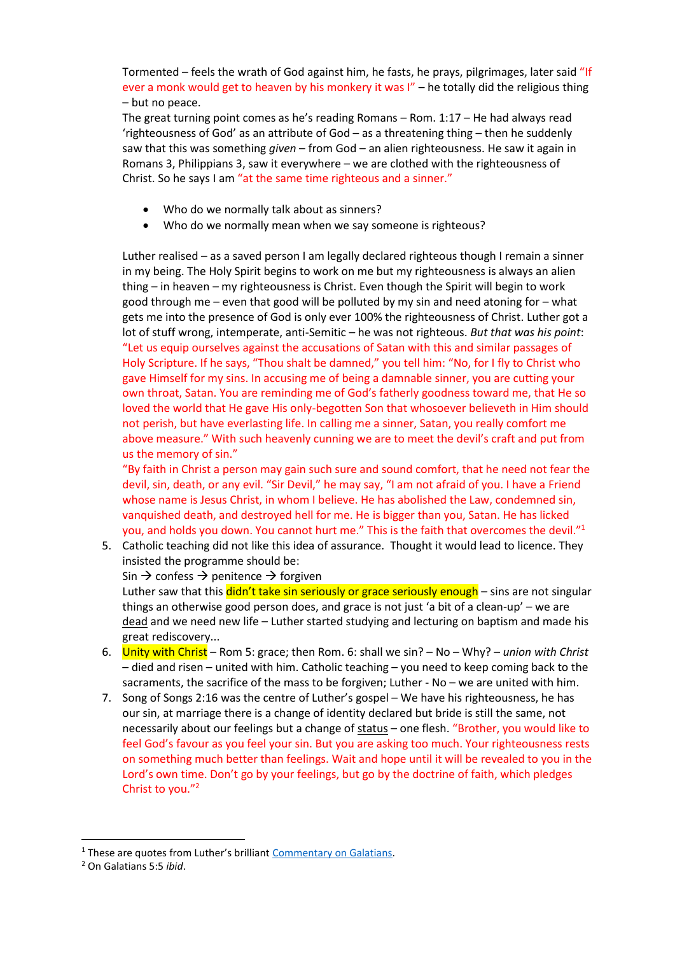Tormented – feels the wrath of God against him, he fasts, he prays, pilgrimages, later said "If ever a monk would get to heaven by his monkery it was I" – he totally did the religious thing – but no peace.

The great turning point comes as he's reading Romans – Rom. 1:17 – He had always read 'righteousness of God' as an attribute of God – as a threatening thing – then he suddenly saw that this was something *given* – from God – an alien righteousness. He saw it again in Romans 3, Philippians 3, saw it everywhere – we are clothed with the righteousness of Christ. So he says I am "at the same time righteous and a sinner."

- Who do we normally talk about as sinners?
- Who do we normally mean when we say someone is righteous?

Luther realised – as a saved person I am legally declared righteous though I remain a sinner in my being. The Holy Spirit begins to work on me but my righteousness is always an alien thing – in heaven – my righteousness is Christ. Even though the Spirit will begin to work good through me – even that good will be polluted by my sin and need atoning for – what gets me into the presence of God is only ever 100% the righteousness of Christ. Luther got a lot of stuff wrong, intemperate, anti-Semitic – he was not righteous. *But that was his point*: "Let us equip ourselves against the accusations of Satan with this and similar passages of Holy Scripture. If he says, "Thou shalt be damned," you tell him: "No, for I fly to Christ who gave Himself for my sins. In accusing me of being a damnable sinner, you are cutting your own throat, Satan. You are reminding me of God's fatherly goodness toward me, that He so loved the world that He gave His only-begotten Son that whosoever believeth in Him should not perish, but have everlasting life. In calling me a sinner, Satan, you really comfort me above measure." With such heavenly cunning we are to meet the devil's craft and put from us the memory of sin."

"By faith in Christ a person may gain such sure and sound comfort, that he need not fear the devil, sin, death, or any evil. "Sir Devil," he may say, "I am not afraid of you. I have a Friend whose name is Jesus Christ, in whom I believe. He has abolished the Law, condemned sin, vanquished death, and destroyed hell for me. He is bigger than you, Satan. He has licked you, and holds you down. You cannot hurt me." This is the faith that overcomes the devil."<sup>1</sup>

5. Catholic teaching did not like this idea of assurance. Thought it would lead to licence. They insisted the programme should be:

Sin  $\rightarrow$  confess  $\rightarrow$  penitence  $\rightarrow$  forgiven

Luther saw that this *didn't take sin seriously or grace seriously enough* – sins are not singular things an otherwise good person does, and grace is not just 'a bit of a clean-up' – we are dead and we need new life - Luther started studying and lecturing on baptism and made his great rediscovery...

- 6. Unity with Christ Rom 5: grace; then Rom. 6: shall we sin? No Why? *union with Christ* – died and risen – united with him. Catholic teaching – you need to keep coming back to the sacraments, the sacrifice of the mass to be forgiven; Luther - No – we are united with him.
- 7. Song of Songs 2:16 was the centre of Luther's gospel We have his righteousness, he has our sin, at marriage there is a change of identity declared but bride is still the same, not necessarily about our feelings but a change of status – one flesh. "Brother, you would like to feel God's favour as you feel your sin. But you are asking too much. Your righteousness rests on something much better than feelings. Wait and hope until it will be revealed to you in the Lord's own time. Don't go by your feelings, but go by the doctrine of faith, which pledges Christ to you."<sup>2</sup>

**.** 

<sup>&</sup>lt;sup>1</sup> These are quotes from Luther's brilliant [Commentary on Galatians.](http://www.iclnet.org/pub/resources/text/wittenberg/luther/gal/web/gal1-01.html)

<sup>2</sup> On Galatians 5:5 *ibid*.